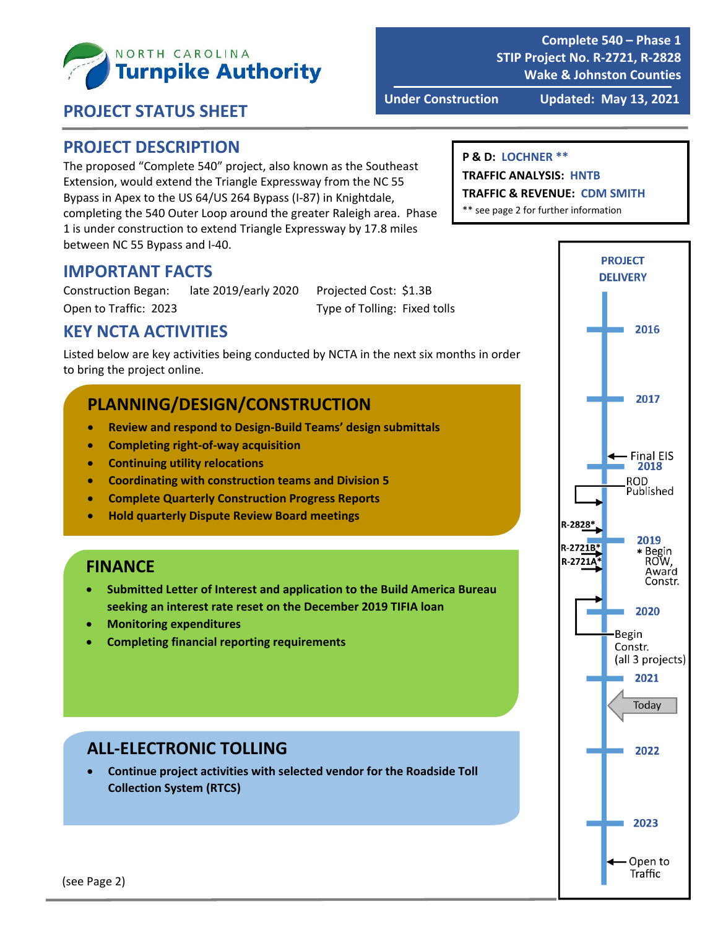

**Complete 540 – Phase 1 STIP Project No. R‐2721, R‐2828 Wake & Johnston Counties**

#### **PROJECT STATUS SHEET**

**Under Construction Updated: May 13, 2021**

### **PROJECT DESCRIPTION**

The proposed "Complete 540" project, also known as the Southeast Extension, would extend the Triangle Expressway from the NC 55 Bypass in Apex to the US 64/US 264 Bypass (I‐87) in Knightdale, completing the 540 Outer Loop around the greater Raleigh area. Phase 1 is under construction to extend Triangle Expressway by 17.8 miles between NC 55 Bypass and I‐40.

#### **P & D: LOCHNER \*\***

#### **TRAFFIC ANALYSIS: HNTB**

**TRAFFIC & REVENUE: CDM SMITH**

\*\* see page 2 for further information

#### **IMPORTANT FACTS**

Construction Began: late 2019/early 2020 Projected Cost: \$1.3B Open to Traffic: 2023 Type of Tolling: Fixed tolls

## **KEY NCTA ACTIVITIES**

Listed below are key activities being conducted by NCTA in the next six months in order to bring the project online.

## **PLANNING/DESIGN/CONSTRUCTION**

- **Review and respond to Design‐Build Teams' design submittals**
- **Completing right‐of‐way acquisition**
- **Continuing utility relocations**
- **Coordinating with construction teams and Division 5**
- **Complete Quarterly Construction Progress Reports**
- **Hold quarterly Dispute Review Board meetings**

#### **FINANCE**

- **Submitted Letter of Interest and application to the Build America Bureau seeking an interest rate reset on the December 2019 TIFIA loan**
- **Monitoring expenditures**
- **Completing financial reporting requirements**

### **ALL‐ELECTRONIC TOLLING**

 **Continue project activities with selected vendor for the Roadside Toll Collection System (RTCS)**

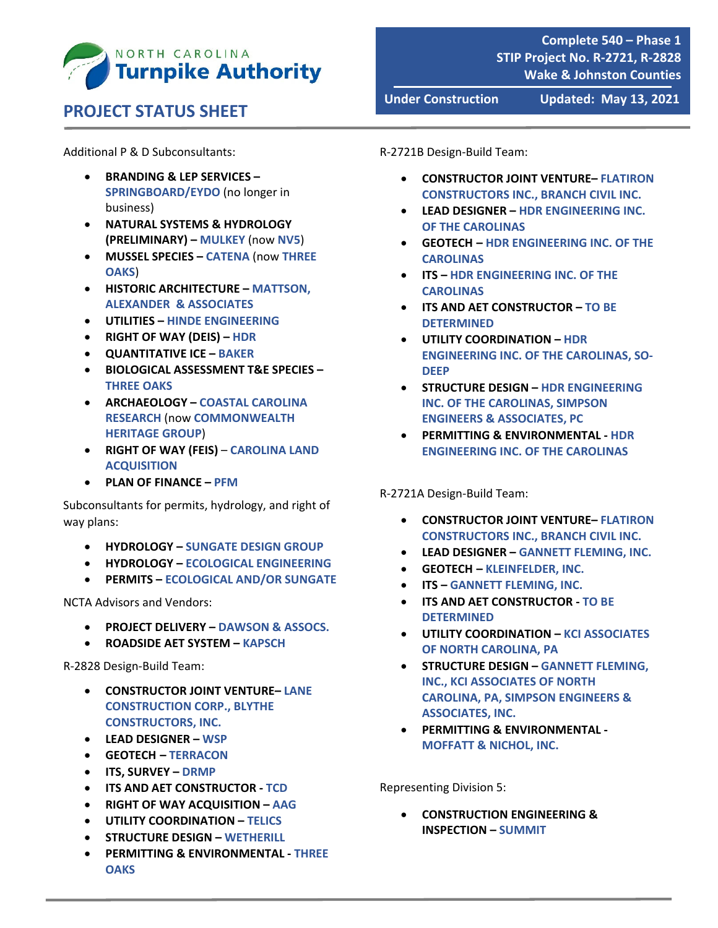

## **PROJECT STATUS SHEET**

Additional P & D Subconsultants:

- **BRANDING & LEP SERVICES – SPRINGBOARD/EYDO** (no longer in business)
- **NATURAL SYSTEMS & HYDROLOGY (PRELIMINARY) – MULKEY** (now **NV5**)
- **MUSSEL SPECIES – CATENA** (now **THREE OAKS**)
- **HISTORIC ARCHITECTURE – MATTSON, ALEXANDER & ASSOCIATES**
- **UTILITIES – HINDE ENGINEERING**
- **RIGHT OF WAY (DEIS) – HDR**
- **QUANTITATIVE ICE – BAKER**
- **BIOLOGICAL ASSESSMENT T&E SPECIES – THREE OAKS**
- **ARCHAEOLOGY – COASTAL CAROLINA RESEARCH** (now **COMMONWEALTH HERITAGE GROUP**)
- **RIGHT OF WAY (FEIS) CAROLINA LAND ACQUISITION**
- **PLAN OF FINANCE – PFM**

Subconsultants for permits, hydrology, and right of way plans:

- **HYDROLOGY – SUNGATE DESIGN GROUP**
- **HYDROLOGY – ECOLOGICAL ENGINEERING**
- **PERMITS – ECOLOGICAL AND/OR SUNGATE**

NCTA Advisors and Vendors:

- **PROJECT DELIVERY – DAWSON & ASSOCS.**
- **ROADSIDE AET SYSTEM – KAPSCH**

R‐2828 Design‐Build Team:

- **CONSTRUCTOR JOINT VENTURE– LANE CONSTRUCTION CORP., BLYTHE CONSTRUCTORS, INC.**
- **LEAD DESIGNER – WSP**
- **GEOTECH – TERRACON**
- **ITS, SURVEY – DRMP**
- **ITS AND AET CONSTRUCTOR ‐ TCD**
- **RIGHT OF WAY ACQUISITION – AAG**
- **UTILITY COORDINATION – TELICS**
- **STRUCTURE DESIGN – WETHERILL**
- **PERMITTING & ENVIRONMENTAL ‐ THREE OAKS**

**Under Construction Updated: May 13, 2021**

R‐2721B Design‐Build Team:

- **CONSTRUCTOR JOINT VENTURE– FLATIRON CONSTRUCTORS INC., BRANCH CIVIL INC.**
- **LEAD DESIGNER – HDR ENGINEERING INC. OF THE CAROLINAS**
- **GEOTECH – HDR ENGINEERING INC. OF THE CAROLINAS**
- **ITS – HDR ENGINEERING INC. OF THE CAROLINAS**
- **ITS AND AET CONSTRUCTOR – TO BE DETERMINED**
- **UTILITY COORDINATION – HDR ENGINEERING INC. OF THE CAROLINAS, SO‐ DEEP**
- **STRUCTURE DESIGN – HDR ENGINEERING INC. OF THE CAROLINAS, SIMPSON ENGINEERS & ASSOCIATES, PC**
- **PERMITTING & ENVIRONMENTAL ‐ HDR ENGINEERING INC. OF THE CAROLINAS**

R‐2721A Design‐Build Team:

- **CONSTRUCTOR JOINT VENTURE– FLATIRON CONSTRUCTORS INC., BRANCH CIVIL INC.**
- **LEAD DESIGNER – GANNETT FLEMING, INC.**
- **GEOTECH – KLEINFELDER, INC.**
- **ITS – GANNETT FLEMING, INC.**
- **ITS AND AET CONSTRUCTOR ‐ TO BE DETERMINED**
- **UTILITY COORDINATION – KCI ASSOCIATES OF NORTH CAROLINA, PA**
- **STRUCTURE DESIGN – GANNETT FLEMING, INC., KCI ASSOCIATES OF NORTH CAROLINA, PA, SIMPSON ENGINEERS & ASSOCIATES, INC.**
- **PERMITTING & ENVIRONMENTAL ‐ MOFFATT & NICHOL, INC.**

Representing Division 5:

 **CONSTRUCTION ENGINEERING & INSPECTION – SUMMIT**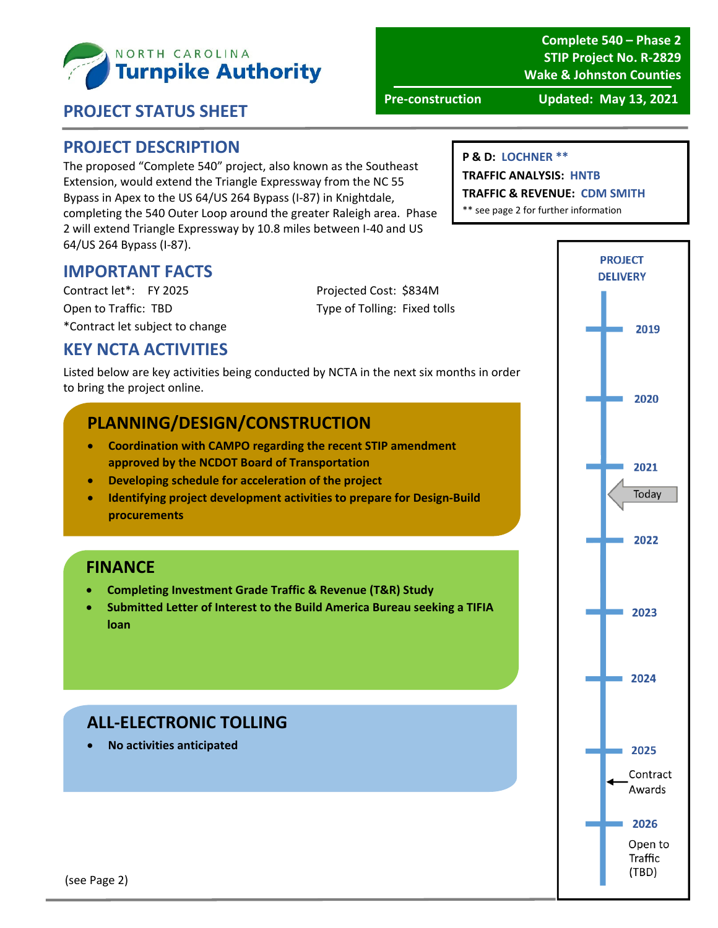

**Complete 540 – Phase 2 STIP Project No. R‐2829 Wake & Johnston Counties**

#### **PROJECT STATUS SHEET**

**Pre‐construction Updated: May 13, 2021**

#### **PROJECT DESCRIPTION**

The proposed "Complete 540" project, also known as the Southeast Extension, would extend the Triangle Expressway from the NC 55 Bypass in Apex to the US 64/US 264 Bypass (I‐87) in Knightdale, completing the 540 Outer Loop around the greater Raleigh area. Phase 2 will extend Triangle Expressway by 10.8 miles between I‐40 and US 64/US 264 Bypass (I‐87).

#### **P & D: LOCHNER \*\***

**TRAFFIC ANALYSIS: HNTB**

**TRAFFIC & REVENUE: CDM SMITH**

\*\* see page 2 for further information

### **IMPORTANT FACTS**

Contract let\*: FY 2025 Projected Cost: \$834M Open to Traffic: TBD Type of Tolling: Fixed tolls \*Contract let subject to change

#### **KEY NCTA ACTIVITIES**

Listed below are key activities being conducted by NCTA in the next six months in order to bring the project online.

### **PLANNING/DESIGN/CONSTRUCTION**

- **Coordination with CAMPO regarding the recent STIP amendment approved by the NCDOT Board of Transportation**
- **Developing schedule for acceleration of the project**
- **Identifying project development activities to prepare for Design‐Build procurements**

#### **FINANCE**

- **Completing Investment Grade Traffic & Revenue (T&R) Study**
- **Submitted Letter of Interest to the Build America Bureau seeking a TIFIA loan**

### **ALL‐ELECTRONIC TOLLING**

**No activities anticipated**

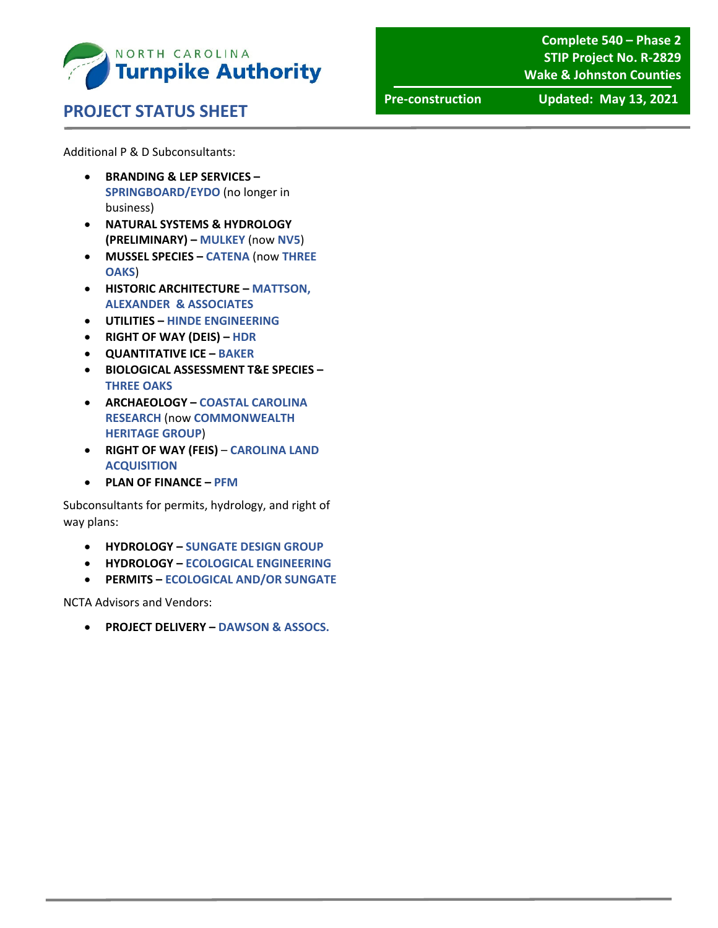

#### **PROJECT STATUS SHEET**

**Complete 540 – Phase 2 STIP Project No. R‐2829 Wake & Johnston Counties**

**Pre‐construction Updated: May 13, 2021**

Additional P & D Subconsultants:

- **BRANDING & LEP SERVICES – SPRINGBOARD/EYDO** (no longer in business)
- **NATURAL SYSTEMS & HYDROLOGY (PRELIMINARY) – MULKEY** (now **NV5**)
- **MUSSEL SPECIES – CATENA** (now **THREE OAKS**)
- **HISTORIC ARCHITECTURE – MATTSON, ALEXANDER & ASSOCIATES**
- **UTILITIES – HINDE ENGINEERING**
- **RIGHT OF WAY (DEIS) – HDR**
- **QUANTITATIVE ICE – BAKER**
- **BIOLOGICAL ASSESSMENT T&E SPECIES – THREE OAKS**
- **ARCHAEOLOGY – COASTAL CAROLINA RESEARCH** (now **COMMONWEALTH HERITAGE GROUP**)
- **RIGHT OF WAY (FEIS) CAROLINA LAND ACQUISITION**
- **PLAN OF FINANCE – PFM**

Subconsultants for permits, hydrology, and right of way plans:

- **HYDROLOGY – SUNGATE DESIGN GROUP**
- **HYDROLOGY – ECOLOGICAL ENGINEERING**
- **PERMITS – ECOLOGICAL AND/OR SUNGATE**

NCTA Advisors and Vendors:

**PROJECT DELIVERY – DAWSON & ASSOCS.**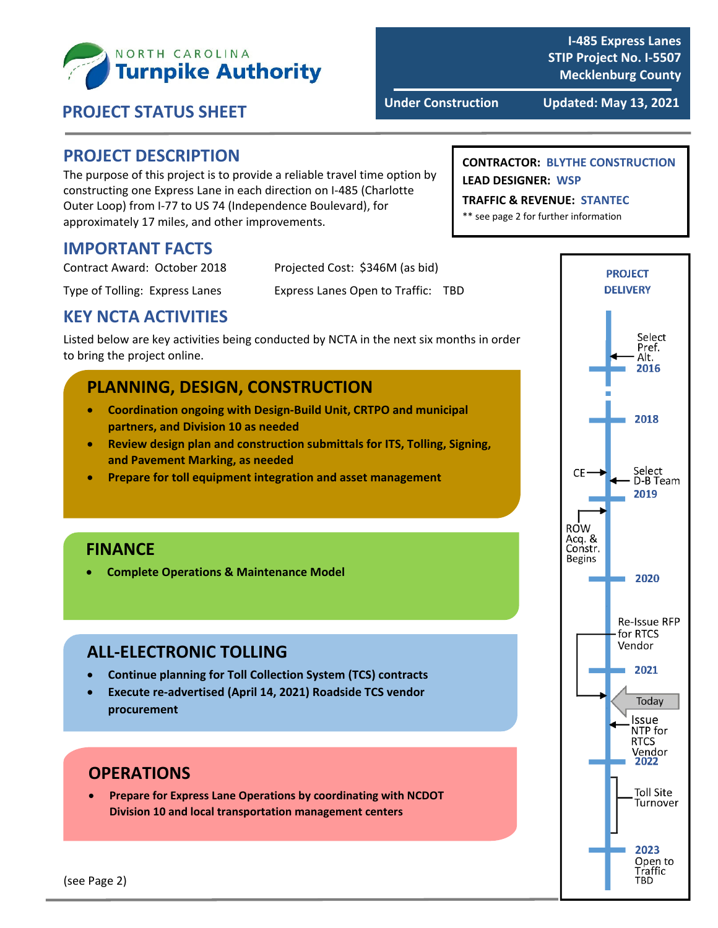

# **Under Construction Updated: May 13, <sup>2021</sup> PROJECT STATUS SHEET**

**I‐485 Express Lanes STIP Project No. I‐5507 Mecklenburg County**

#### **PROJECT DESCRIPTION**

The purpose of this project is to provide a reliable travel time option by constructing one Express Lane in each direction on I‐485 (Charlotte Outer Loop) from I‐77 to US 74 (Independence Boulevard), for approximately 17 miles, and other improvements.

#### **IMPORTANT FACTS**

| Contract Award: October 2018   | Projected Cost: \$346M (as bid)    |
|--------------------------------|------------------------------------|
| Type of Tolling: Express Lanes | Express Lanes Open to Traffic: TBD |

### **KEY NCTA ACTIVITIES**

Listed below are key activities being conducted by NCTA in the next six months in order to bring the project online.

#### **PLANNING, DESIGN, CONSTRUCTION**

- **Coordination ongoing with Design‐Build Unit, CRTPO and municipal partners, and Division 10 as needed**
- **Review design plan and construction submittals for ITS, Tolling, Signing, and Pavement Marking, as needed**
- **Prepare for toll equipment integration and asset management**

#### **FINANCE**

**Complete Operations & Maintenance Model**

#### **ALL‐ELECTRONIC TOLLING**

- **Continue planning for Toll Collection System (TCS) contracts**
- **Execute re‐advertised (April 14, 2021) Roadside TCS vendor procurement**

## **OPERATIONS**

 **Prepare for Express Lane Operations by coordinating with NCDOT Division 10 and local transportation management centers**

#### **CONTRACTOR: BLYTHE CONSTRUCTION LEAD DESIGNER: WSP**

#### **TRAFFIC & REVENUE: STANTEC**

\*\* see page 2 for further information

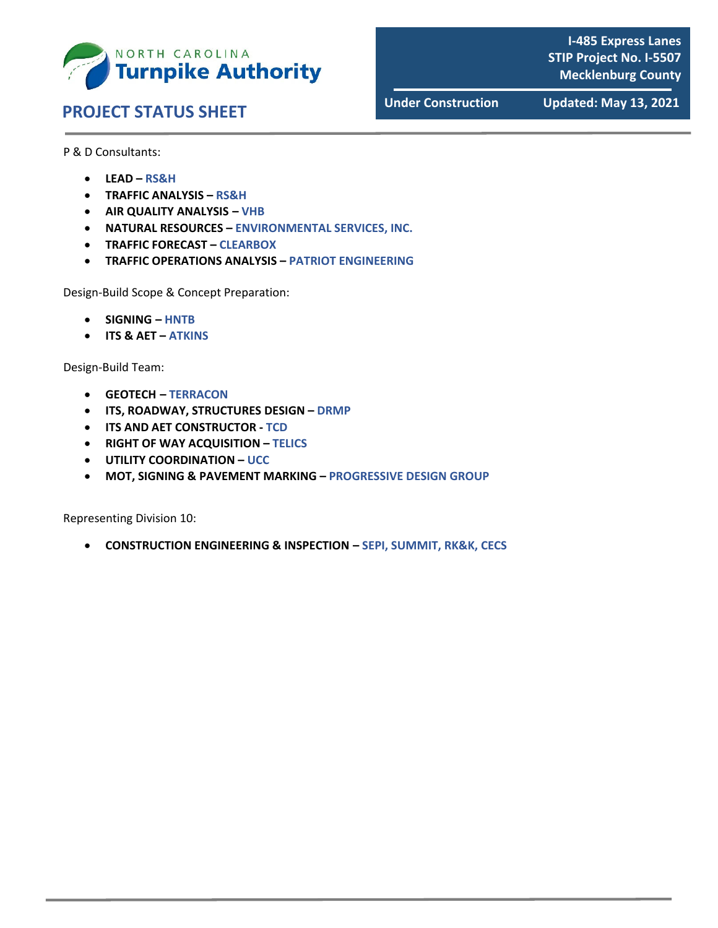

# **Under Construction Updated: May 13, <sup>2021</sup> PROJECT STATUS SHEET**

**I‐485 Express Lanes STIP Project No. I‐5507 Mecklenburg County**

P & D Consultants:

- **LEAD – RS&H**
- **TRAFFIC ANALYSIS – RS&H**
- **AIR QUALITY ANALYSIS – VHB**
- **NATURAL RESOURCES – ENVIRONMENTAL SERVICES, INC.**
- **TRAFFIC FORECAST – CLEARBOX**
- **TRAFFIC OPERATIONS ANALYSIS – PATRIOT ENGINEERING**

Design‐Build Scope & Concept Preparation:

- **SIGNING – HNTB**
- **ITS & AET – ATKINS**

Design‐Build Team:

- **GEOTECH – TERRACON**
- **ITS, ROADWAY, STRUCTURES DESIGN – DRMP**
- **ITS AND AET CONSTRUCTOR ‐ TCD**
- **RIGHT OF WAY ACQUISITION – TELICS**
- **UTILITY COORDINATION – UCC**
- **MOT, SIGNING & PAVEMENT MARKING – PROGRESSIVE DESIGN GROUP**

Representing Division 10:

**CONSTRUCTION ENGINEERING & INSPECTION – SEPI, SUMMIT, RK&K, CECS**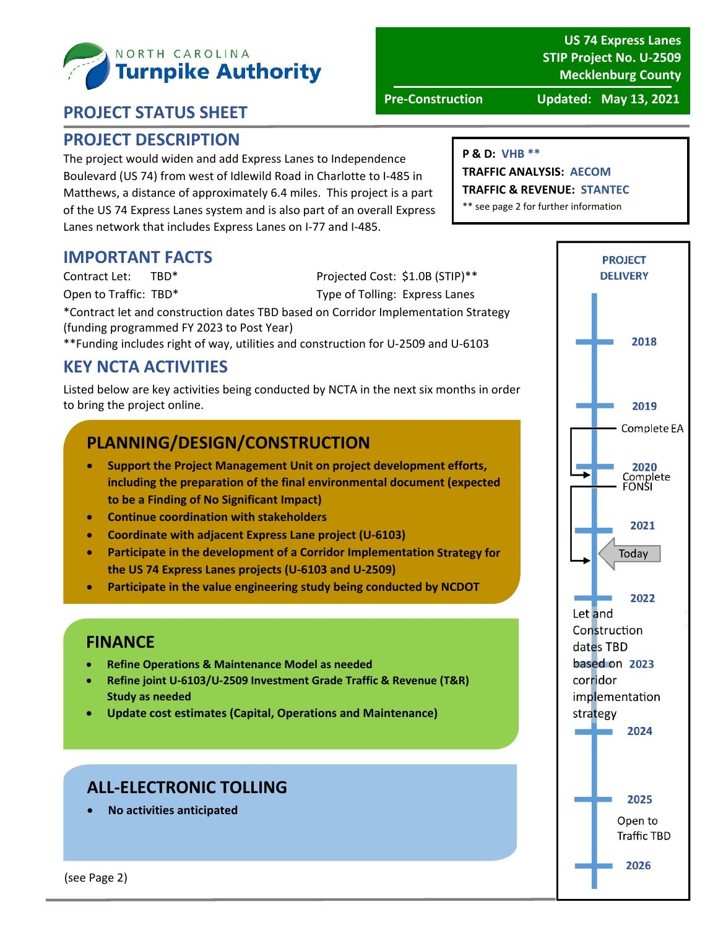

## **PROJECT STATUS SHEET**

#### **PROJECT DESCRIPTION**

The project would widen and add Express Lanes to Independence Boulevard (US 74) from west of Idlewild Road in Charlotte to I‐485 in Matthews, a distance of approximately 6.4 miles. This project is a part of the US 74 Express Lanes system and is also part of an overall Express Lanes network that includes Express Lanes on I‐77 and I‐485.

### **IMPORTANT FACTS**

Contract Let: TBD\* Projected Cost: \$1.0B (STIP)\*\*

Open to Traffic: TBD\* Type of Tolling: Express Lanes

\*Contract let and construction dates TBD based on Corridor Implementation Strategy (funding programmed FY 2023 to Post Year)

\*\*Funding includes right of way, utilities and construction for U‐2509 and U‐6103

## **KEY NCTA ACTIVITIES**

Listed below are key activities being conducted by NCTA in the next six months in order to bring the project online.

## **PLANNING/DESIGN/CONSTRUCTION**

- **Support the Project Management Unit on project development efforts, including the preparation of the final environmental document (expected to be a Finding of No Significant Impact)**
- **Continue coordination with stakeholders**
- **Coordinate with adjacent Express Lane project (U‐6103)**
- **Participate in the development of a Corridor Implementation Strategy for the US 74 Express Lanes projects (U‐6103 and U‐2509)**
- **Participate in the value engineering study being conducted by NCDOT**

### **FINANCE**

- **Refine Operations & Maintenance Model as needed**
- **Refine joint U‐6103/U‐2509 Investment Grade Traffic & Revenue (T&R) Study as needed**
- **Update cost estimates (Capital, Operations and Maintenance)**

### **ALL‐ELECTRONIC TOLLING**

**No activities anticipated**

#### **P & D: VHB \*\***

**TRAFFIC ANALYSIS: AECOM TRAFFIC & REVENUE: STANTEC**

\*\* see page 2 for further information



2025 Open to **Traffic TBD** 

2026

#### **US 74 Express Lanes STIP Project No. U‐2509 Mecklenburg County**

**Pre‐Construction Updated: May 13, 2021**

(see Page 2)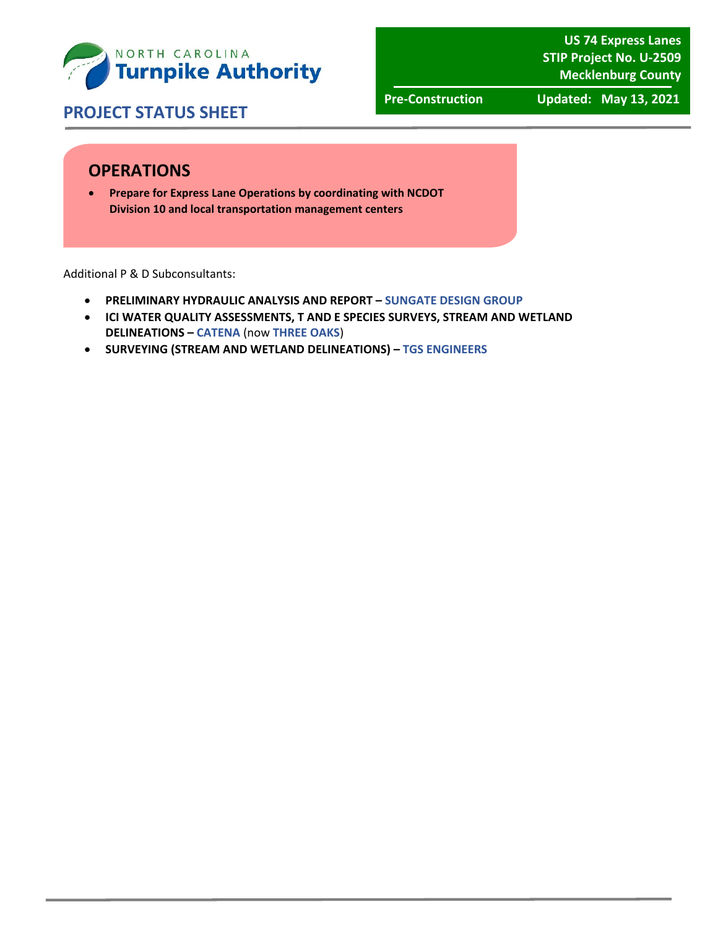

**US 74 Express Lanes STIP Project No. U‐2509 Mecklenburg County**

## **PROJECT STATUS SHEET**

**Pre‐Construction Updated: May 13, 2021**

## **OPERATIONS**

 **Prepare for Express Lane Operations by coordinating with NCDOT Division 10 and local transportation management centers**

Additional P & D Subconsultants:

- **PRELIMINARY HYDRAULIC ANALYSIS AND REPORT – SUNGATE DESIGN GROUP**
- **ICI WATER QUALITY ASSESSMENTS, T AND E SPECIES SURVEYS, STREAM AND WETLAND DELINEATIONS – CATENA** (now **THREE OAKS**)
- **SURVEYING (STREAM AND WETLAND DELINEATIONS) – TGS ENGINEERS**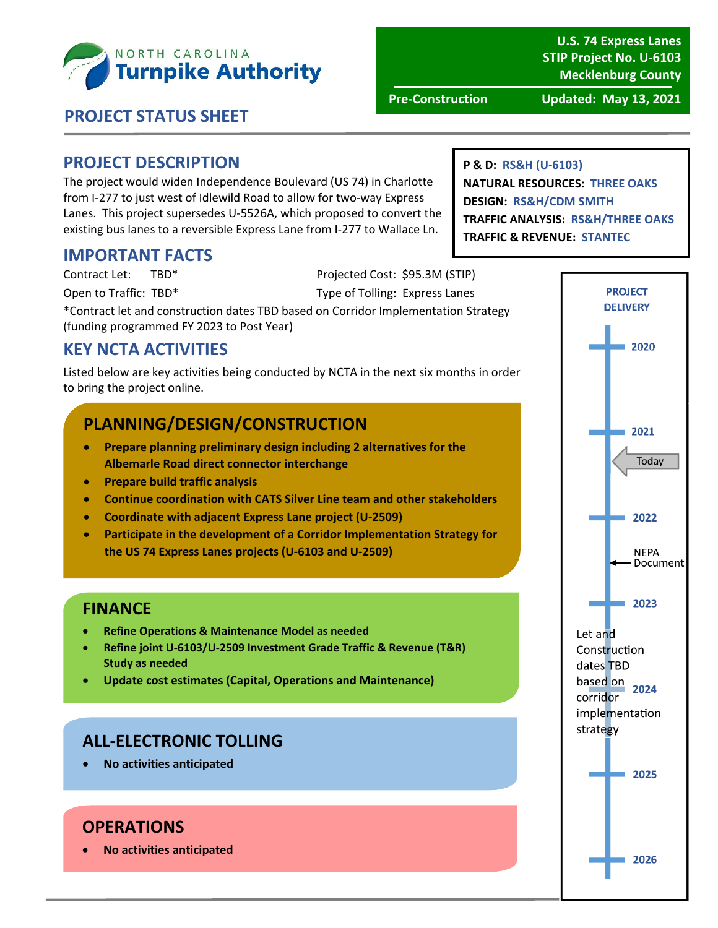

**U.S. 74 Express Lanes STIP Project No. U‐6103 Mecklenburg County**

**P & D: RS&H (U‐6103)**

**DESIGN: RS&H/CDM SMITH**

**NATURAL RESOURCES: THREE OAKS**

**Pre‐Construction Updated: May 13, 2021**

## **PROJECT STATUS SHEET**

## **PROJECT DESCRIPTION**

The project would widen Independence Boulevard (US 74) in Charlotte from I‐277 to just west of Idlewild Road to allow for two‐way Express Lanes. This project supersedes U‐5526A, which proposed to convert the existing bus lanes to a reversible Express Lane from I‐277 to Wallace Ln.

### **IMPORTANT FACTS**

Contract Let: TBD\* Projected Cost: \$95.3M (STIP)

Open to Traffic: TBD\* Type of Tolling: Express Lanes

\*Contract let and construction dates TBD based on Corridor Implementation Strategy (funding programmed FY 2023 to Post Year)

## **KEY NCTA ACTIVITIES**

Listed below are key activities being conducted by NCTA in the next six months in order to bring the project online.

## **PLANNING/DESIGN/CONSTRUCTION**

- **Prepare planning preliminary design including 2 alternatives for the Albemarle Road direct connector interchange**
- **Prepare build traffic analysis**
- **Continue coordination with CATS Silver Line team and other stakeholders**
- **Coordinate with adjacent Express Lane project (U‐2509)**
- **Participate in the development of a Corridor Implementation Strategy for the US 74 Express Lanes projects (U‐6103 and U‐2509)**

#### **FINANCE**

- **Refine Operations & Maintenance Model as needed**
- **Refine joint U‐6103/U‐2509 Investment Grade Traffic & Revenue (T&R) Study as needed**
- **Update cost estimates (Capital, Operations and Maintenance)**

### **ALL‐ELECTRONIC TOLLING**

**No activities anticipated**

#### **OPERATIONS**

**No activities anticipated**

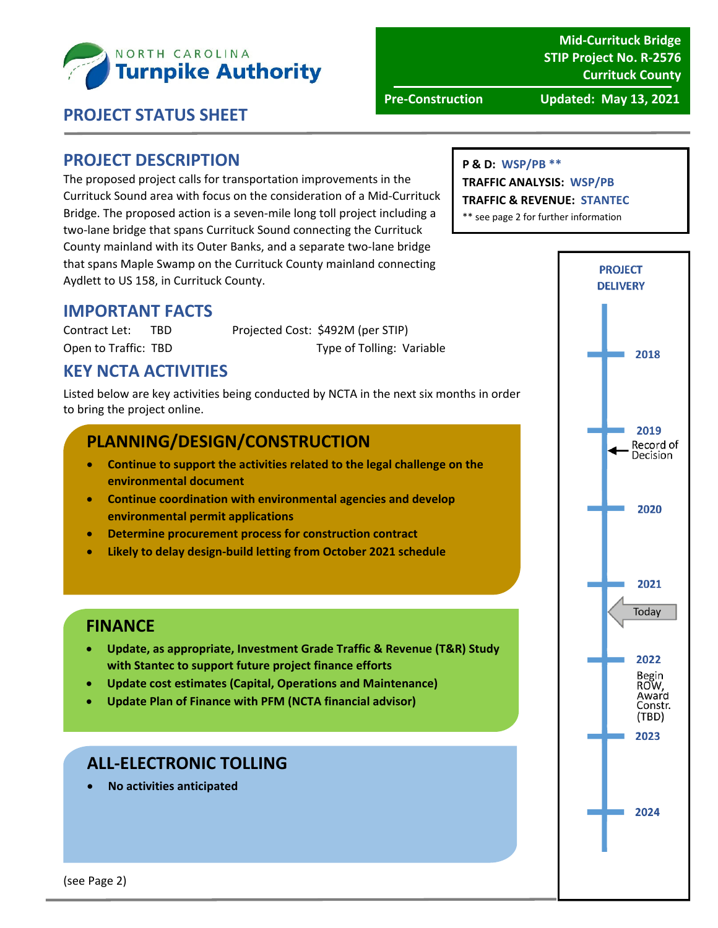

**Mid‐Currituck Bridge STIP Project No. R‐2576 Currituck County**

**Pre‐Construction Updated: May 13, 2021**

#### **PROJECT STATUS SHEET**

#### **PROJECT DESCRIPTION**

The proposed project calls for transportation improvements in the Currituck Sound area with focus on the consideration of a Mid‐Currituck Bridge. The proposed action is a seven‐mile long toll project including a two‐lane bridge that spans Currituck Sound connecting the Currituck County mainland with its Outer Banks, and a separate two‐lane bridge that spans Maple Swamp on the Currituck County mainland connecting Aydlett to US 158, in Currituck County.

#### **P & D: WSP/PB \*\***

#### **TRAFFIC ANALYSIS: WSP/PB**

**TRAFFIC & REVENUE: STANTEC**

\*\* see page 2 for further information



Contract Let: TBD Projected Cost: \$492M (per STIP) Open to Traffic: TBD Type of Tolling: Variable

## **KEY NCTA ACTIVITIES**

Listed below are key activities being conducted by NCTA in the next six months in order to bring the project online.

#### **PLANNING/DESIGN/CONSTRUCTION**

- **Continue to support the activities related to the legal challenge on the environmental document**
- **Continue coordination with environmental agencies and develop environmental permit applications**
- **Determine procurement process for construction contract**
- **Likely to delay design‐build letting from October 2021 schedule**

### **FINANCE**

- **Update, as appropriate, Investment Grade Traffic & Revenue (T&R) Study with Stantec to support future project finance efforts**
- **Update cost estimates (Capital, Operations and Maintenance)**
- **Update Plan of Finance with PFM (NCTA financial advisor)**

### **ALL‐ELECTRONIC TOLLING**

**No activities anticipated**

**PROJECT DELIVERY** 2018 2019 Record of Decision 2020 2021 Today 2022 Begin<br>ROW, Award Constr. (TBD) 2023 2024